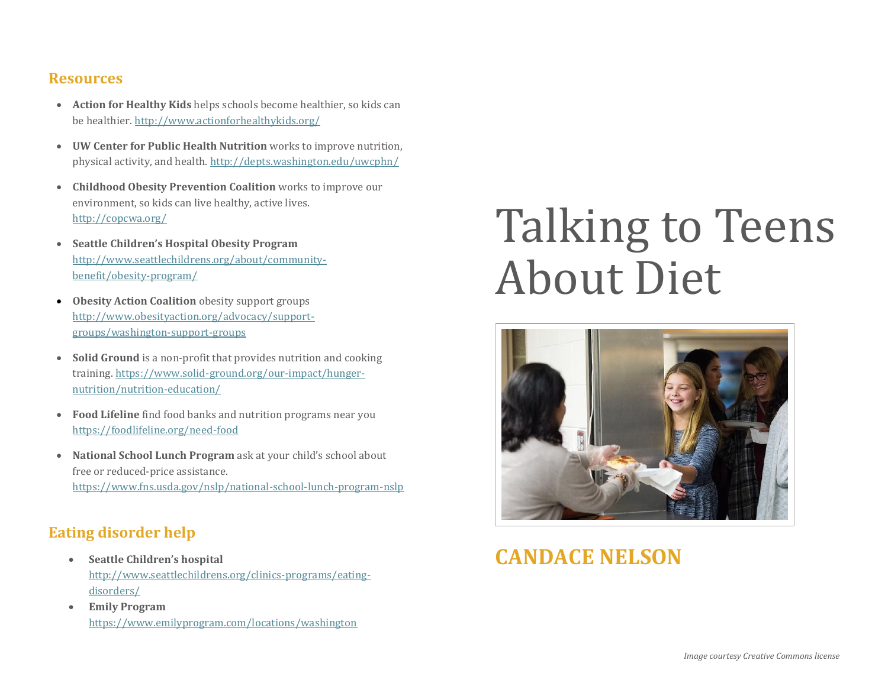#### **Resources**

- **Action for Healthy Kids** helps schools become healthier, so kids can be healthier.<http://www.actionforhealthykids.org/>
- **UW Center for Public Health Nutrition** works to improve nutrition, physical activity, and health[. http://depts.washington.edu/uwcphn/](http://depts.washington.edu/uwcphn/)
- **Childhood Obesity Prevention Coalition** works to improve our environment, so kids can live healthy, active lives. <http://copcwa.org/>
- **Seattle Children's Hospital Obesity Program**  [http://www.seattlechildrens.org/about/community](http://www.seattlechildrens.org/about/community-benefit/obesity-program/)[benefit/obesity-program/](http://www.seattlechildrens.org/about/community-benefit/obesity-program/)
- **Obesity Action Coalition** obesity support groups [http://www.obesityaction.org/advocacy/support](http://www.obesityaction.org/advocacy/support-groups/washington-support-groups)[groups/washington-support-groups](http://www.obesityaction.org/advocacy/support-groups/washington-support-groups)
- **Solid Ground** is a non-profit that provides nutrition and cooking training. [https://www.solid-ground.org/our-impact/hunger](https://www.solid-ground.org/our-impact/hunger-nutrition/nutrition-education/)[nutrition/nutrition-education/](https://www.solid-ground.org/our-impact/hunger-nutrition/nutrition-education/)
- **Food Lifeline** find food banks and nutrition programs near you <https://foodlifeline.org/need-food>
- **National School Lunch Program** ask at your child's school about free or reduced-price assistance. <https://www.fns.usda.gov/nslp/national-school-lunch-program-nslp>

#### **Eating disorder help**

- **Seattle Children's hospital** [http://www.seattlechildrens.org/clinics-programs/eating](http://www.seattlechildrens.org/clinics-programs/eating-disorders/)[disorders/](http://www.seattlechildrens.org/clinics-programs/eating-disorders/)
- **Emily Program** <https://www.emilyprogram.com/locations/washington>

# Talking to Teens About Diet



## **CANDACE NELSON**